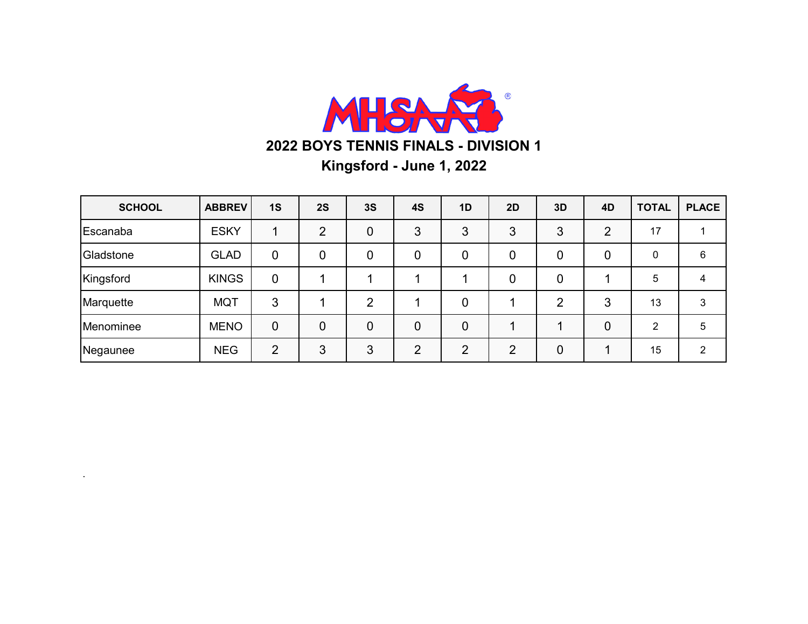

| <b>SCHOOL</b> | <b>ABBREV</b> | 1S             | 2S             | 3S             | 4S | 1D             | <b>2D</b> | 3D             | 4D             | <b>TOTAL</b> | <b>PLACE</b> |
|---------------|---------------|----------------|----------------|----------------|----|----------------|-----------|----------------|----------------|--------------|--------------|
| Escanaba      | <b>ESKY</b>   |                | $\overline{2}$ | $\overline{0}$ | 3  | 3              | 3         | 3              | ာ              | 17           |              |
| Gladstone     | <b>GLAD</b>   | 0              | 0              | 0              | 0  | 0              | 0         | 0              | 0              | 0            | 6            |
| Kingsford     | <b>KINGS</b>  | 0              |                |                |    |                | 0         | 0              |                | 5            |              |
| Marquette     | <b>MQT</b>    | 3              |                | $\overline{2}$ |    | 0              |           | $\overline{2}$ | 3              | 13           | 3            |
| Menominee     | <b>MENO</b>   | 0              | 0              | $\overline{0}$ | 0  | $\overline{0}$ |           |                | $\overline{0}$ | 2            | 5            |
| Negaunee      | <b>NEG</b>    | $\overline{2}$ | 3              | 3              | ⌒  | റ              | 2         | $\overline{0}$ |                | 15           | 2            |

.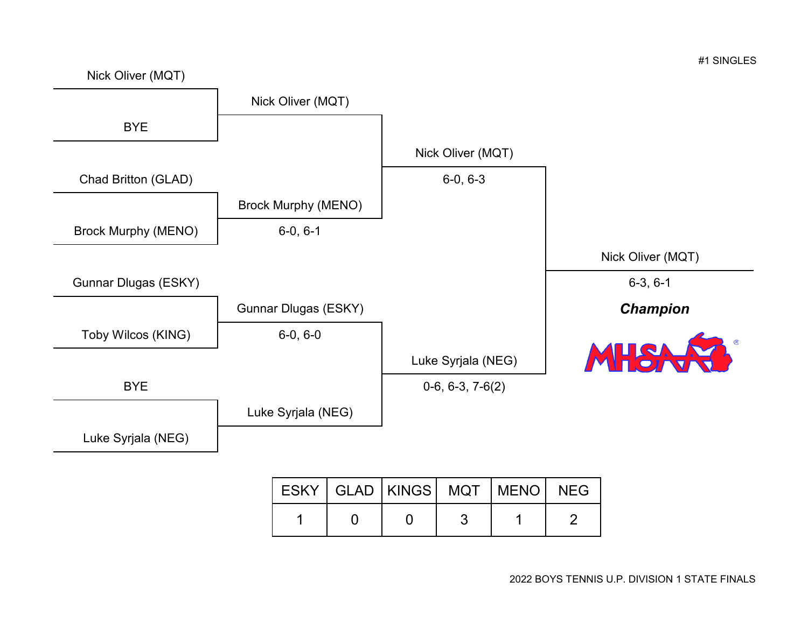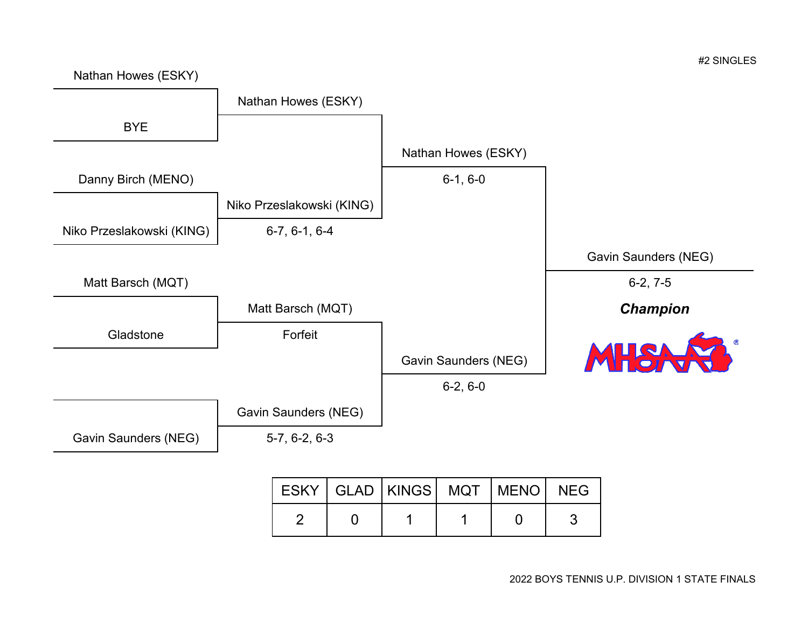

2 0 1 1 1 0 3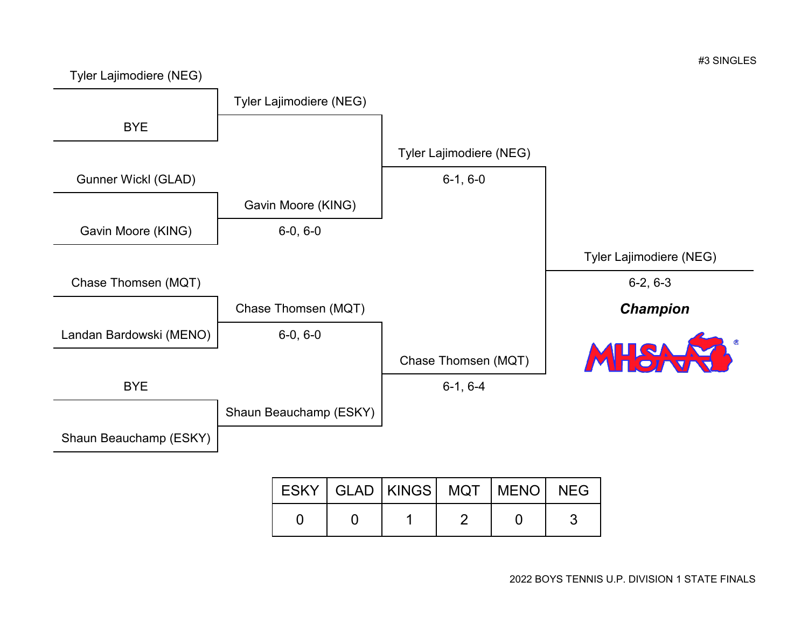

|  | ESKY   GLAD   KINGS   MQT   MENO   NEG |  |  |
|--|----------------------------------------|--|--|
|  |                                        |  |  |

#3 SINGLES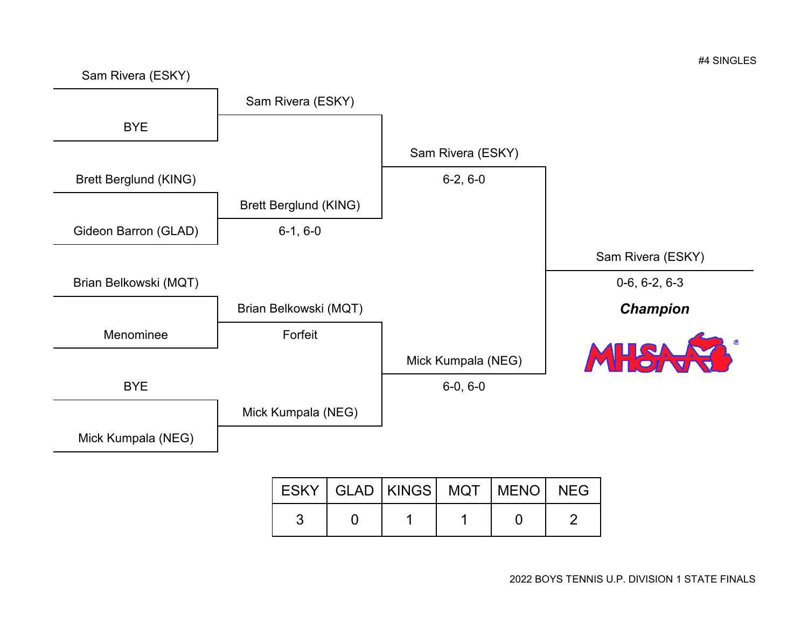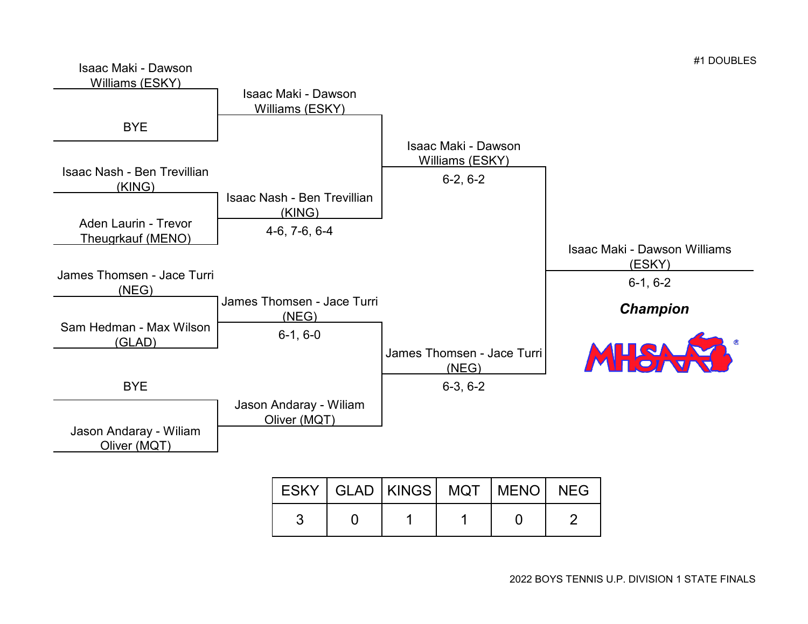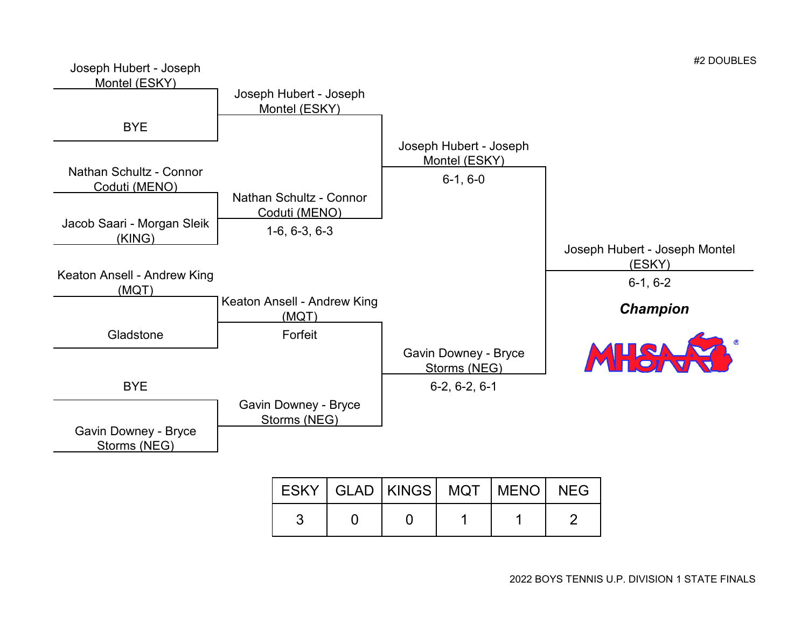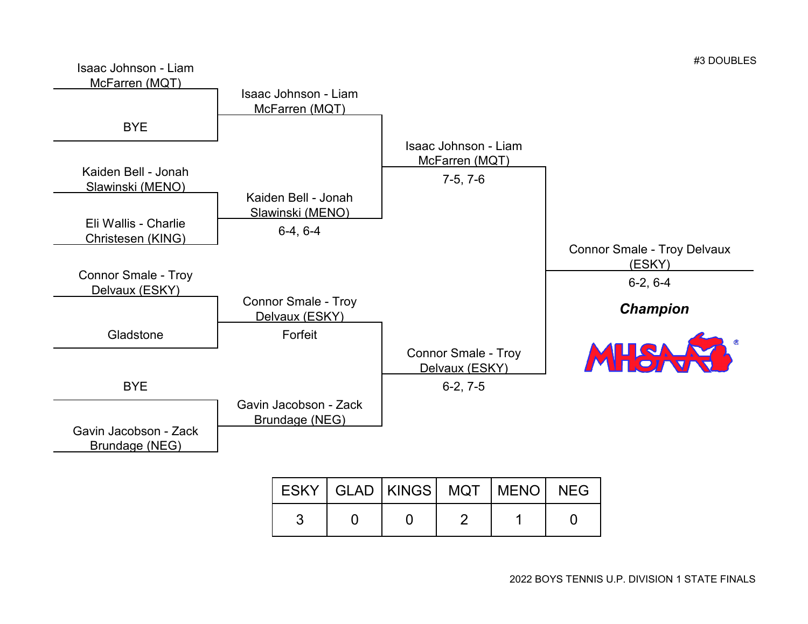